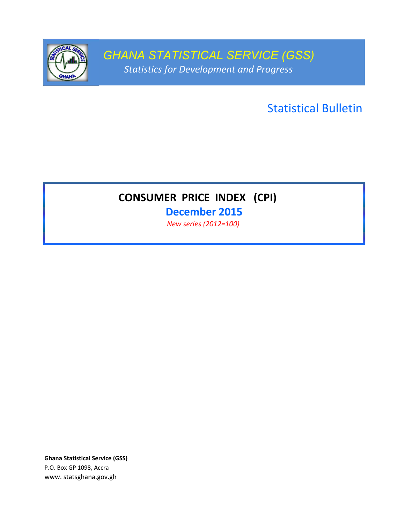

*GHANA STATISTICAL SERVICE (GSS) Statistics for Development and Progress*

Statistical Bulletin

# **CONSUMER PRICE INDEX (CPI)**

**December 2015** *New series (2012=100)* 

**Ghana Statistical Service (GSS)** P.O. Box GP 1098, Accra www. statsghana.gov.gh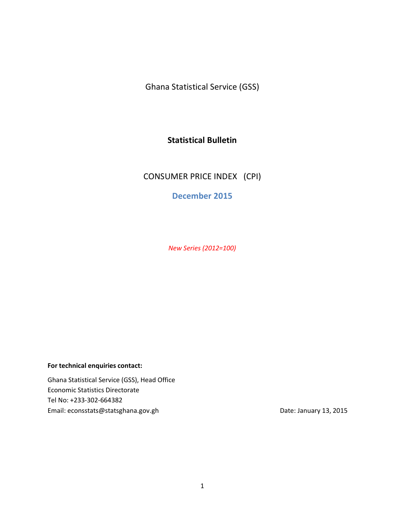Ghana Statistical Service (GSS)

## **Statistical Bulletin**

CONSUMER PRICE INDEX (CPI)

**December 2015**

*New Series (2012=100)*

#### **For technical enquiries contact:**

Ghana Statistical Service (GSS), Head Office Economic Statistics Directorate Tel No: +233-302-664382 Email: econsstats@statsghana.gov.gh Date: January 13, 2015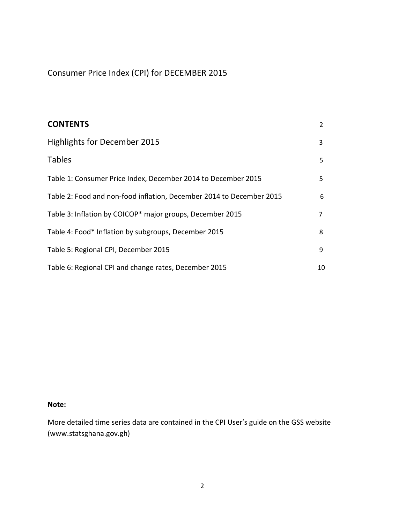Consumer Price Index (CPI) for DECEMBER 2015

| <b>CONTENTS</b>                                                      | $\overline{2}$ |
|----------------------------------------------------------------------|----------------|
| Highlights for December 2015                                         | 3              |
| <b>Tables</b>                                                        | 5              |
| Table 1: Consumer Price Index, December 2014 to December 2015        | 5              |
| Table 2: Food and non-food inflation, December 2014 to December 2015 | 6              |
| Table 3: Inflation by COICOP* major groups, December 2015            | $\overline{7}$ |
| Table 4: Food* Inflation by subgroups, December 2015                 | 8              |
| Table 5: Regional CPI, December 2015                                 | 9              |
| Table 6: Regional CPI and change rates, December 2015                | 10             |

#### **Note:**

More detailed time series data are contained in the CPI User's guide on the GSS website (www.statsghana.gov.gh)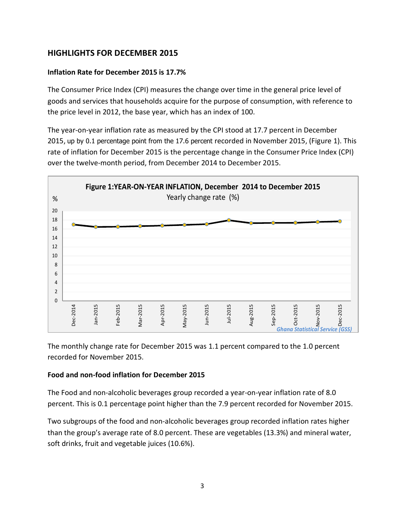# **HIGHLIGHTS FOR DECEMBER 2015**

### **Inflation Rate for December 2015 is 17.7%**

The Consumer Price Index (CPI) measures the change over time in the general price level of goods and services that households acquire for the purpose of consumption, with reference to the price level in 2012, the base year, which has an index of 100.

The year-on-year inflation rate as measured by the CPI stood at 17.7 percent in December 2015, up by 0.1 percentage point from the 17.6 percent recorded in November 2015, (Figure 1). This rate of inflation for December 2015 is the percentage change in the Consumer Price Index (CPI) over the twelve-month period, from December 2014 to December 2015.



The monthly change rate for December 2015 was 1.1 percent compared to the 1.0 percent recorded for November 2015.

### **Food and non-food inflation for December 2015**

The Food and non-alcoholic beverages group recorded a year-on-year inflation rate of 8.0 percent. This is 0.1 percentage point higher than the 7.9 percent recorded for November 2015.

Two subgroups of the food and non-alcoholic beverages group recorded inflation rates higher than the group's average rate of 8.0 percent. These are vegetables (13.3%) and mineral water, soft drinks, fruit and vegetable juices (10.6%).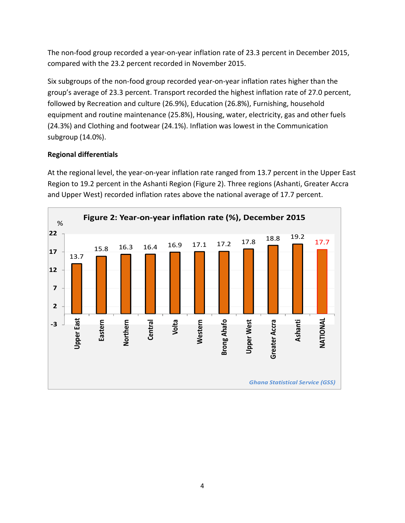The non-food group recorded a year-on-year inflation rate of 23.3 percent in December 2015, compared with the 23.2 percent recorded in November 2015.

Six subgroups of the non-food group recorded year-on-year inflation rates higher than the group's average of 23.3 percent. Transport recorded the highest inflation rate of 27.0 percent, followed by Recreation and culture (26.9%), Education (26.8%), Furnishing, household equipment and routine maintenance (25.8%), Housing, water, electricity, gas and other fuels (24.3%) and Clothing and footwear (24.1%). Inflation was lowest in the Communication subgroup (14.0%).

# **Regional differentials**

At the regional level, the year-on-year inflation rate ranged from 13.7 percent in the Upper East Region to 19.2 percent in the Ashanti Region (Figure 2). Three regions (Ashanti, Greater Accra and Upper West) recorded inflation rates above the national average of 17.7 percent.

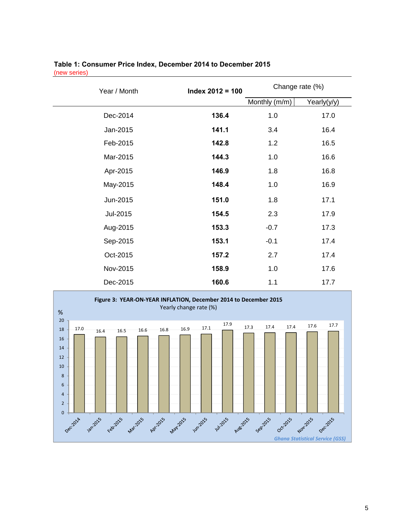| Index $2012 = 100$<br>Year / Month |       | Change rate (%) |             |
|------------------------------------|-------|-----------------|-------------|
|                                    |       | Monthly (m/m)   | Yearly(y/y) |
| Dec-2014                           | 136.4 | 1.0             | 17.0        |
| Jan-2015                           | 141.1 | 3.4             | 16.4        |
| Feb-2015                           | 142.8 | 1.2             | 16.5        |
| Mar-2015                           | 144.3 | 1.0             | 16.6        |
| Apr-2015                           | 146.9 | 1.8             | 16.8        |
| May-2015                           | 148.4 | 1.0             | 16.9        |
| Jun-2015                           | 151.0 | 1.8             | 17.1        |
| Jul-2015                           | 154.5 | 2.3             | 17.9        |
| Aug-2015                           | 153.3 | $-0.7$          | 17.3        |
| Sep-2015                           | 153.1 | $-0.1$          | 17.4        |
| Oct-2015                           | 157.2 | 2.7             | 17.4        |
| Nov-2015                           | 158.9 | 1.0             | 17.6        |
| Dec-2015                           | 160.6 | 1.1             | 17.7        |

#### **Table 1: Consumer Price Index, December 2014 to December 2015** (new series)

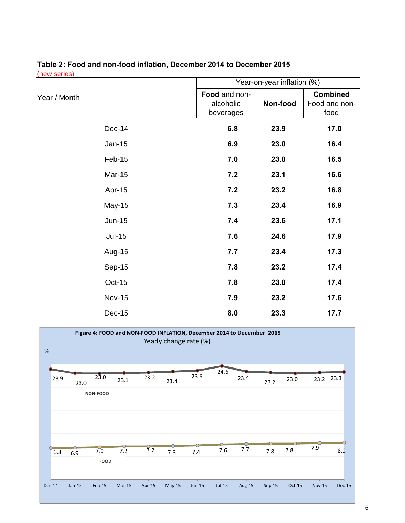|                                                                               |        |                        |          |                                                     |        |          | Year-on-year inflation (%)               |               |               |
|-------------------------------------------------------------------------------|--------|------------------------|----------|-----------------------------------------------------|--------|----------|------------------------------------------|---------------|---------------|
| Year / Month                                                                  |        |                        |          | Food and non-<br>Non-food<br>alcoholic<br>beverages |        |          | <b>Combined</b><br>Food and non-<br>food |               |               |
| Dec-14                                                                        |        |                        |          |                                                     | 6.8    | 23.9     |                                          |               | 17.0          |
| Jan-15                                                                        |        |                        |          |                                                     | 6.9    | 23.0     |                                          |               | 16.4          |
| Feb-15                                                                        |        |                        |          |                                                     | 7.0    | 23.0     |                                          |               | 16.5          |
| Mar-15                                                                        |        |                        |          |                                                     | 7.2    | 23.1     |                                          |               | 16.6          |
| Apr-15                                                                        |        |                        |          |                                                     | 7.2    | 23.2     |                                          |               | 16.8          |
| May-15                                                                        |        |                        |          |                                                     | 7.3    | 23.4     |                                          |               | 16.9          |
| <b>Jun-15</b>                                                                 |        |                        |          |                                                     | 7.4    | 23.6     |                                          | 17.1          |               |
| <b>Jul-15</b>                                                                 |        |                        |          |                                                     | 7.6    | 24.6     |                                          | 17.9          |               |
| Aug-15                                                                        |        |                        |          |                                                     | 7.7    | 23.4     |                                          | 17.3          |               |
| Sep-15                                                                        |        |                        |          |                                                     | 7.8    | 23.2     |                                          |               | 17.4          |
| <b>Oct-15</b>                                                                 |        |                        |          |                                                     | 7.8    | 23.0     |                                          |               | 17.4          |
| <b>Nov-15</b>                                                                 |        |                        |          |                                                     | 7.9    | 23.2     |                                          |               | 17.6          |
| <b>Dec-15</b>                                                                 |        |                        |          |                                                     | 8.0    | 23.3     |                                          |               | 17.7          |
| Figure 4: FOOD and NON-FOOD INFLATION, December 2014 to December 2015<br>$\%$ |        | Yearly change rate (%) |          |                                                     |        |          |                                          |               |               |
| 23.0<br>23.9                                                                  | 23.2   |                        | 23.6     | 24.6                                                | 23.4   |          |                                          | 23.2 23.3     |               |
| 23.1<br>23.0<br>NON-FOOD                                                      |        | 23.4                   |          |                                                     |        | 23.2     | 23.0                                     |               |               |
|                                                                               |        |                        |          |                                                     |        |          |                                          |               |               |
| 7.0<br>7.2<br>6.8<br>6.9<br>FOOD                                              | 7.2    | 7.3                    | 7.4      | $7.6\,$                                             | $7.7$  | $7.8$    | $7.8$                                    | 7.9           | 8.0           |
| $Jan-15$<br>$Feb-15$<br>$Mar-15$<br><b>Dec-14</b>                             | Apr-15 | $May-15$               | $Jun-15$ | $Jul-15$                                            | Aug-15 | $Sep-15$ | $Oct-15$                                 | <b>Nov-15</b> | <b>Dec-15</b> |

## **Table 2: Food and non-food inflation, December 2014 to December 2015** (new series)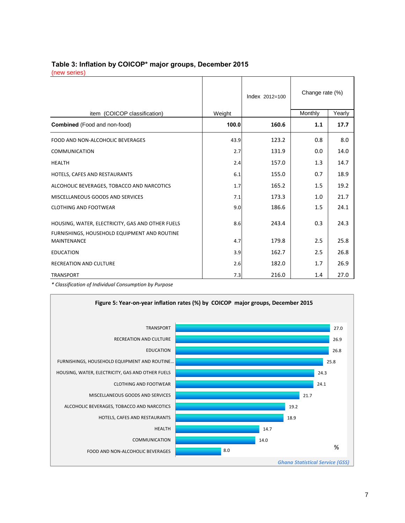#### **Table 3: Inflation by COICOP\* major groups, December 2015** (new series)

|                                                                    |        | Index 2012=100 | Change rate (%) |        |
|--------------------------------------------------------------------|--------|----------------|-----------------|--------|
| item (COICOP classification)                                       | Weight |                | Monthly         | Yearly |
| <b>Combined</b> (Food and non-food)                                | 100.0  | 160.6          | 1.1             | 17.7   |
| FOOD AND NON-ALCOHOLIC BEVERAGES                                   | 43.9   | 123.2          | 0.8             | 8.0    |
| <b>COMMUNICATION</b>                                               | 2.7    | 131.9          | 0.0             | 14.0   |
| <b>HEALTH</b>                                                      | 2.4    | 157.0          | 1.3             | 14.7   |
| HOTELS, CAFES AND RESTAURANTS                                      | 6.1    | 155.0          | 0.7             | 18.9   |
| ALCOHOLIC BEVERAGES, TOBACCO AND NARCOTICS                         | 1.7    | 165.2          | 1.5             | 19.2   |
| MISCELLANEOUS GOODS AND SERVICES                                   | 7.1    | 173.3          | 1.0             | 21.7   |
| <b>CLOTHING AND FOOTWEAR</b>                                       | 9.0    | 186.6          | 1.5             | 24.1   |
| HOUSING, WATER, ELECTRICITY, GAS AND OTHER FUELS                   | 8.6    | 243.4          | 0.3             | 24.3   |
| FURNISHINGS, HOUSEHOLD EQUIPMENT AND ROUTINE<br><b>MAINTENANCE</b> | 4.7    | 179.8          | 2.5             | 25.8   |
| <b>EDUCATION</b>                                                   | 3.9    | 162.7          | 2.5             | 26.8   |
| <b>RECREATION AND CULTURE</b>                                      | 2.6    | 182.0          | 1.7             | 26.9   |
| <b>TRANSPORT</b>                                                   | 7.3    | 216.0          | 1.4             | 27.0   |

*\* Classification of Individual Consumption by Purpose*

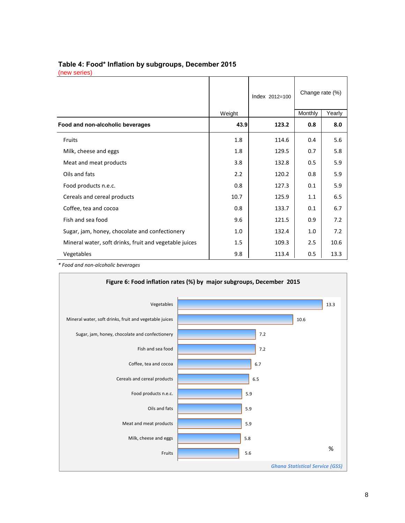# **Table 4: Food\* Inflation by subgroups, December 2015**

|  | thew series. |  |  |  |
|--|--------------|--|--|--|
|--|--------------|--|--|--|

|                                                        |                  | Index 2012=100 | Change rate (%) |        |
|--------------------------------------------------------|------------------|----------------|-----------------|--------|
|                                                        | Weight           |                | Monthly         | Yearly |
| Food and non-alcoholic beverages                       | 43.9             | 123.2          | 0.8             | 8.0    |
| Fruits                                                 | 1.8              | 114.6          | 0.4             | 5.6    |
| Milk, cheese and eggs                                  | 1.8              | 129.5          | 0.7             | 5.8    |
| Meat and meat products                                 | 3.8              | 132.8          | 0.5             | 5.9    |
| Oils and fats                                          | $2.2\phantom{0}$ | 120.2          | 0.8             | 5.9    |
| Food products n.e.c.                                   | 0.8              | 127.3          | 0.1             | 5.9    |
| Cereals and cereal products                            | 10.7             | 125.9          | 1.1             | 6.5    |
| Coffee, tea and cocoa                                  | 0.8              | 133.7          | 0.1             | 6.7    |
| Fish and sea food                                      | 9.6              | 121.5          | 0.9             | 7.2    |
| Sugar, jam, honey, chocolate and confectionery         | 1.0              | 132.4          | 1.0             | 7.2    |
| Mineral water, soft drinks, fruit and vegetable juices | 1.5              | 109.3          | 2.5             | 10.6   |
| Vegetables                                             | 9.8              | 113.4          | 0.5             | 13.3   |

*\* Food and non-alcoholic beverages*

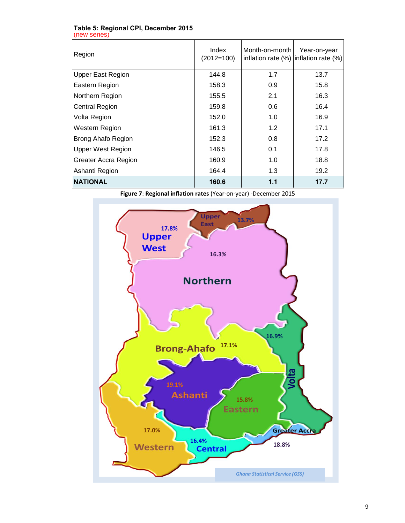| Table 5: Regional CPI, December 2015 |  |
|--------------------------------------|--|
| (new series)                         |  |

| Region                   | Index<br>$(2012=100)$ | Month-on-month | Year-on-year<br>inflation rate (%) inflation rate (%) |
|--------------------------|-----------------------|----------------|-------------------------------------------------------|
| <b>Upper East Region</b> | 144.8                 | 1.7            | 13.7                                                  |
| Eastern Region           | 158.3                 | 0.9            | 15.8                                                  |
| Northern Region          | 155.5                 | 2.1            | 16.3                                                  |
| <b>Central Region</b>    | 159.8                 | 0.6            | 16.4                                                  |
| Volta Region             | 152.0                 | 1.0            | 16.9                                                  |
| Western Region           | 161.3                 | 1.2            | 17.1                                                  |
| Brong Ahafo Region       | 152.3                 | 0.8            | 17.2                                                  |
| <b>Upper West Region</b> | 146.5                 | 0.1            | 17.8                                                  |
| Greater Accra Region     | 160.9                 | 1.0            | 18.8                                                  |
| Ashanti Region           | 164.4                 | 1.3            | 19.2                                                  |
| <b>NATIONAL</b>          | 160.6                 | 1.1            | 17.7                                                  |

**Figure 7**: **Regional inflation rates** (Year-on-year) -December 2015